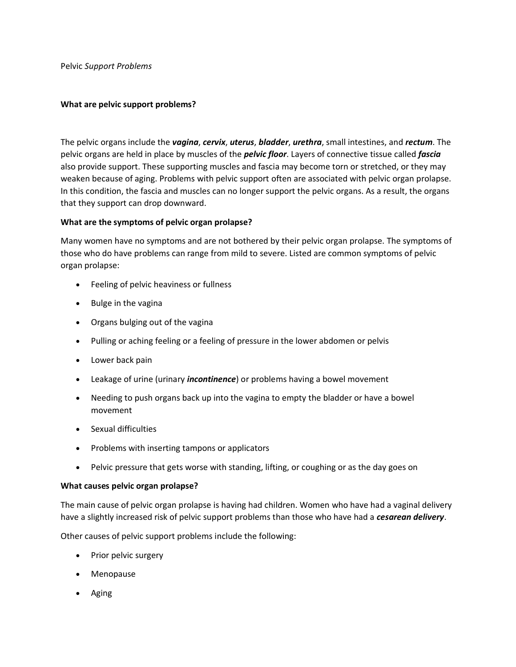Pelvic *Support Problems* 

## **What are pelvic support problems?**

The pelvic organs include the *vagina*, *cervix*, *uterus*, *bladder*, *urethra*, small intestines, and *rectum*. The pelvic organs are held in place by muscles of the *pelvic floor*. Layers of connective tissue called *fascia* also provide support. These supporting muscles and fascia may become torn or stretched, or they may weaken because of aging. Problems with pelvic support often are associated with pelvic organ prolapse. In this condition, the fascia and muscles can no longer support the pelvic organs. As a result, the organs that they support can drop downward.

# **What are the symptoms of pelvic organ prolapse?**

Many women have no symptoms and are not bothered by their pelvic organ prolapse. The symptoms of those who do have problems can range from mild to severe. Listed are common symptoms of pelvic organ prolapse:

- Feeling of pelvic heaviness or fullness
- Bulge in the vagina
- Organs bulging out of the vagina
- Pulling or aching feeling or a feeling of pressure in the lower abdomen or pelvis
- Lower back pain
- Leakage of urine (urinary *incontinence*) or problems having a bowel movement
- Needing to push organs back up into the vagina to empty the bladder or have a bowel movement
- Sexual difficulties
- Problems with inserting tampons or applicators
- Pelvic pressure that gets worse with standing, lifting, or coughing or as the day goes on

## **What causes pelvic organ prolapse?**

The main cause of pelvic organ prolapse is having had children. Women who have had a vaginal delivery have a slightly increased risk of pelvic support problems than those who have had a *cesarean delivery*.

Other causes of pelvic support problems include the following:

- Prior pelvic surgery
- Menopause
- Aging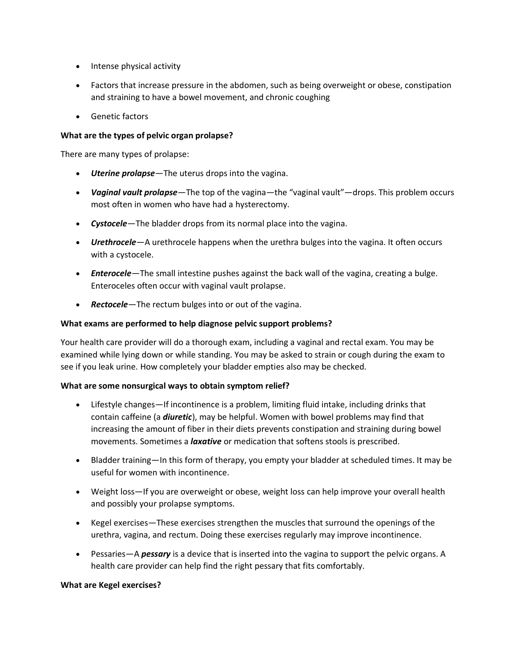- Intense physical activity
- Factors that increase pressure in the abdomen, such as being overweight or obese, constipation and straining to have a bowel movement, and chronic coughing
- Genetic factors

## **What are the types of pelvic organ prolapse?**

There are many types of prolapse:

- *Uterine prolapse*—The uterus drops into the vagina.
- *Vaginal vault prolapse*—The top of the vagina—the "vaginal vault"—drops. This problem occurs most often in women who have had a hysterectomy.
- *Cystocele*—The bladder drops from its normal place into the vagina.
- *Urethrocele*—A urethrocele happens when the urethra bulges into the vagina. It often occurs with a cystocele.
- *Enterocele*—The small intestine pushes against the back wall of the vagina, creating a bulge. Enteroceles often occur with vaginal vault prolapse.
- *Rectocele*—The rectum bulges into or out of the vagina.

### **What exams are performed to help diagnose pelvic support problems?**

Your health care provider will do a thorough exam, including a vaginal and rectal exam. You may be examined while lying down or while standing. You may be asked to strain or cough during the exam to see if you leak urine. How completely your bladder empties also may be checked.

## **What are some nonsurgical ways to obtain symptom relief?**

- Lifestyle changes—If incontinence is a problem, limiting fluid intake, including drinks that contain caffeine (a *diuretic*), may be helpful. Women with bowel problems may find that increasing the amount of fiber in their diets prevents constipation and straining during bowel movements. Sometimes a *laxative* or medication that softens stools is prescribed.
- Bladder training—In this form of therapy, you empty your bladder at scheduled times. It may be useful for women with incontinence.
- Weight loss—If you are overweight or obese, weight loss can help improve your overall health and possibly your prolapse symptoms.
- Kegel exercises—These exercises strengthen the muscles that surround the openings of the urethra, vagina, and rectum. Doing these exercises regularly may improve incontinence.
- Pessaries—A *pessary* is a device that is inserted into the vagina to support the pelvic organs. A health care provider can help find the right pessary that fits comfortably.

#### **What are Kegel exercises?**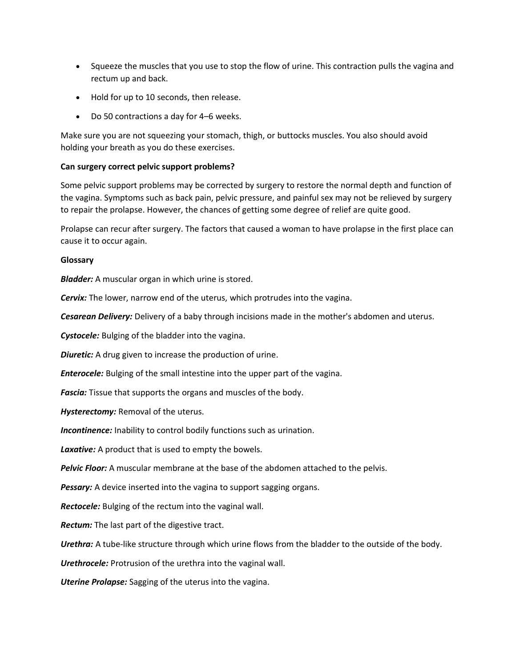- Squeeze the muscles that you use to stop the flow of urine. This contraction pulls the vagina and rectum up and back.
- Hold for up to 10 seconds, then release.
- Do 50 contractions a day for 4–6 weeks.

Make sure you are not squeezing your stomach, thigh, or buttocks muscles. You also should avoid holding your breath as you do these exercises.

## **Can surgery correct pelvic support problems?**

Some pelvic support problems may be corrected by surgery to restore the normal depth and function of the vagina. Symptoms such as back pain, pelvic pressure, and painful sex may not be relieved by surgery to repair the prolapse. However, the chances of getting some degree of relief are quite good.

Prolapse can recur after surgery. The factors that caused a woman to have prolapse in the first place can cause it to occur again.

### **Glossary**

*Bladder:* A muscular organ in which urine is stored.

*Cervix:* The lower, narrow end of the uterus, which protrudes into the vagina.

*Cesarean Delivery:* Delivery of a baby through incisions made in the mother's abdomen and uterus.

*Cystocele:* Bulging of the bladder into the vagina.

**Diuretic:** A drug given to increase the production of urine.

*Enterocele:* Bulging of the small intestine into the upper part of the vagina.

*Fascia:* Tissue that supports the organs and muscles of the body.

*Hysterectomy:* Removal of the uterus.

*Incontinence:* Inability to control bodily functions such as urination.

*Laxative:* A product that is used to empty the bowels.

*Pelvic Floor:* A muscular membrane at the base of the abdomen attached to the pelvis.

**Pessary:** A device inserted into the vagina to support sagging organs.

*Rectocele:* Bulging of the rectum into the vaginal wall.

*Rectum:* The last part of the digestive tract.

*Urethra:* A tube-like structure through which urine flows from the bladder to the outside of the body.

*Urethrocele:* Protrusion of the urethra into the vaginal wall.

*Uterine Prolapse:* Sagging of the uterus into the vagina.